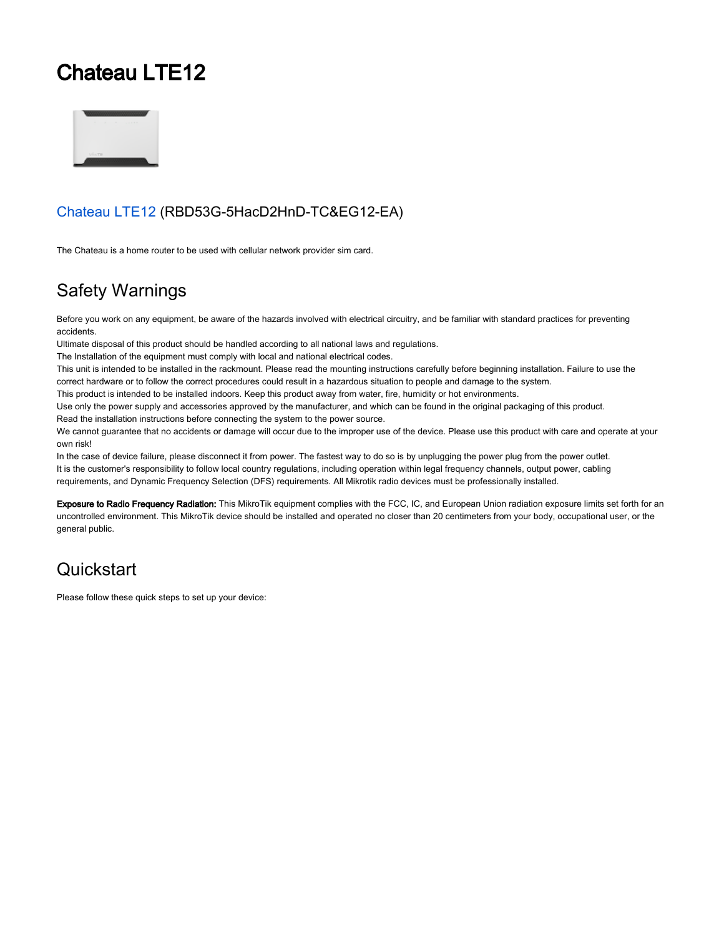# Chateau LTE12



#### [Chateau LTE12](https://mikrotik.com/product/chateau_lte12) (RBD53G-5HacD2HnD-TC&EG12-EA)

The Chateau is a home router to be used with cellular network provider sim card.

## Safety Warnings

Before you work on any equipment, be aware of the hazards involved with electrical circuitry, and be familiar with standard practices for preventing accidents.

Ultimate disposal of this product should be handled according to all national laws and regulations.

The Installation of the equipment must comply with local and national electrical codes.

This unit is intended to be installed in the rackmount. Please read the mounting instructions carefully before beginning installation. Failure to use the correct hardware or to follow the correct procedures could result in a hazardous situation to people and damage to the system.

This product is intended to be installed indoors. Keep this product away from water, fire, humidity or hot environments.

Use only the power supply and accessories approved by the manufacturer, and which can be found in the original packaging of this product. Read the installation instructions before connecting the system to the power source.

We cannot quarantee that no accidents or damage will occur due to the improper use of the device. Please use this product with care and operate at your own risk!

In the case of device failure, please disconnect it from power. The fastest way to do so is by unplugging the power plug from the power outlet. It is the customer's responsibility to follow local country regulations, including operation within legal frequency channels, output power, cabling requirements, and Dynamic Frequency Selection (DFS) requirements. All Mikrotik radio devices must be professionally installed.

Exposure to Radio Frequency Radiation: This MikroTik equipment complies with the FCC, IC, and European Union radiation exposure limits set forth for an uncontrolled environment. This MikroTik device should be installed and operated no closer than 20 centimeters from your body, occupational user, or the general public.

## **Quickstart**

Please follow these quick steps to set up your device: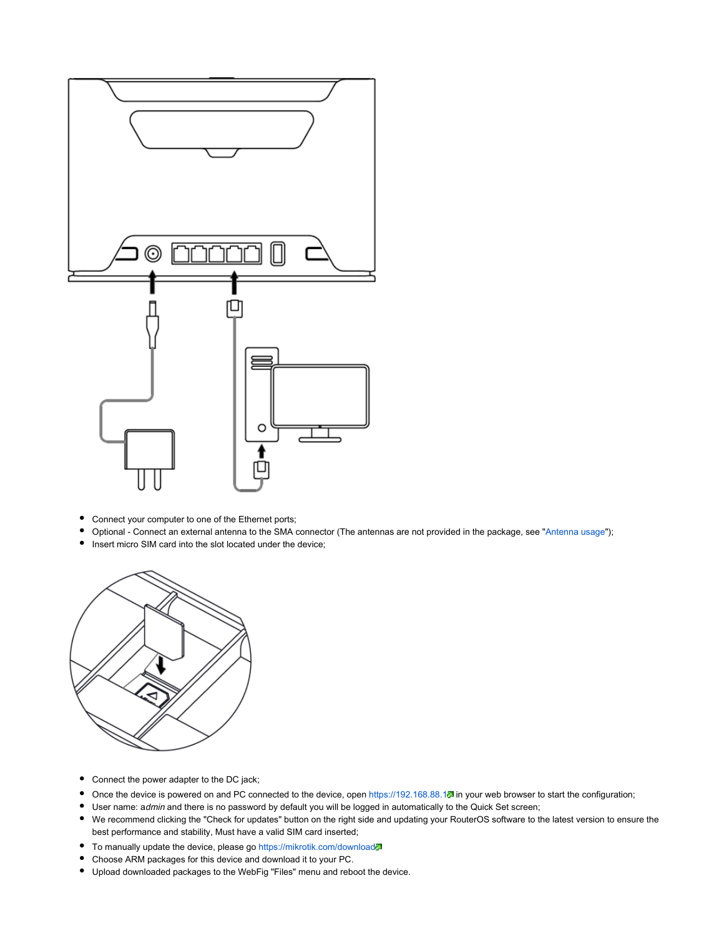

- Connect your computer to one of the Ethernet ports;
- Optional Connect an external antenna to the SMA connector (The antennas are not provided in the package, see "Antenna usage");  $\bullet$
- $\bullet$ Insert micro SIM card into the slot located under the device;



- Connect the power adapter to the DC jack;
- Once the device is powered on and PC connected to the device, open https://192.168.88.1. in your web browser to start the configuration;
- **User name: admin and there is no password by default you will be logged in automatically to the Quick Set screen;**
- We recommend clicking the "Check for updates" button on the right side and updating your RouterOS software to the latest version to ensure the best performance and stability, Must have a valid SIM card inserted;
- To manually update the device, please go <https://mikrotik.com/download>
- Choose ARM packages for this device and download it to your PC.
- Upload downloaded packages to the WebFig "Files" menu and reboot the device.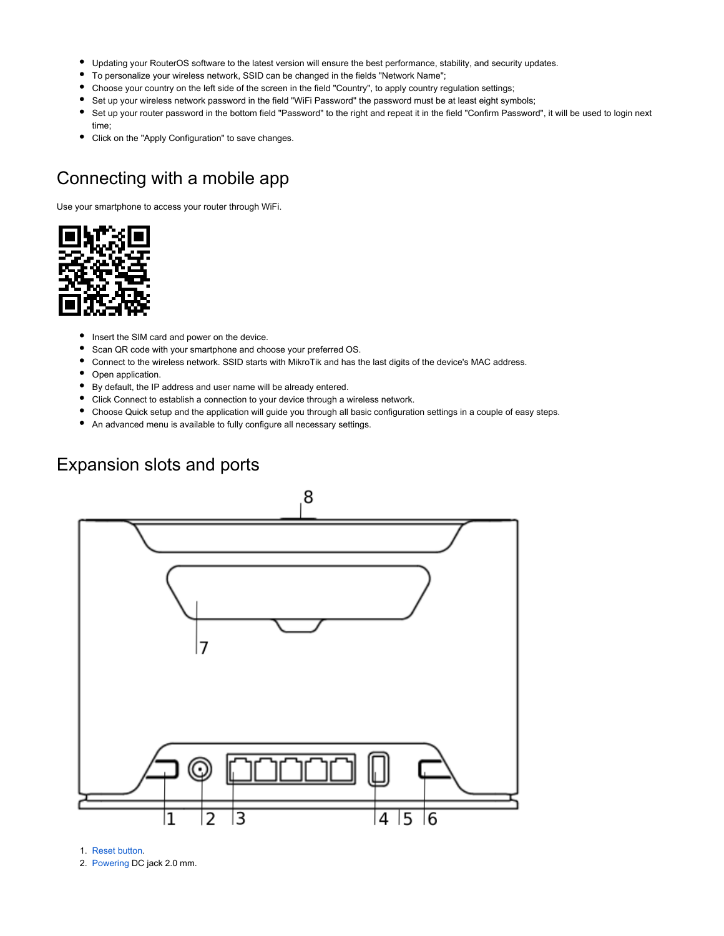- Updating your RouterOS software to the latest version will ensure the best performance, stability, and security updates.
- To personalize your wireless network, SSID can be changed in the fields "Network Name";
- Choose your country on the left side of the screen in the field "Country", to apply country regulation settings;
- Set up your wireless network password in the field "WiFi Password" the password must be at least eight symbols;
- Set up your router password in the bottom field "Password" to the right and repeat it in the field "Confirm Password", it will be used to login next time;
- $\bullet$ Click on the "Apply Configuration" to save changes.

#### Connecting with a mobile app

Use your smartphone to access your router through WiFi.



- $\bullet$ Insert the SIM card and power on the device.
- Scan QR code with your smartphone and choose your preferred OS.
- Connect to the wireless network. SSID starts with MikroTik and has the last digits of the device's MAC address.
- Open application.
- By default, the IP address and user name will be already entered.
- Click Connect to establish a connection to your device through a wireless network.
- Choose Quick setup and the application will guide you through all basic configuration settings in a couple of easy steps.
- An advanced menu is available to fully configure all necessary settings.

#### <span id="page-2-0"></span>Expansion slots and ports



1. [Reset button.](#page-4-0)

2. [Powering](#page-3-0) DC jack 2.0 mm.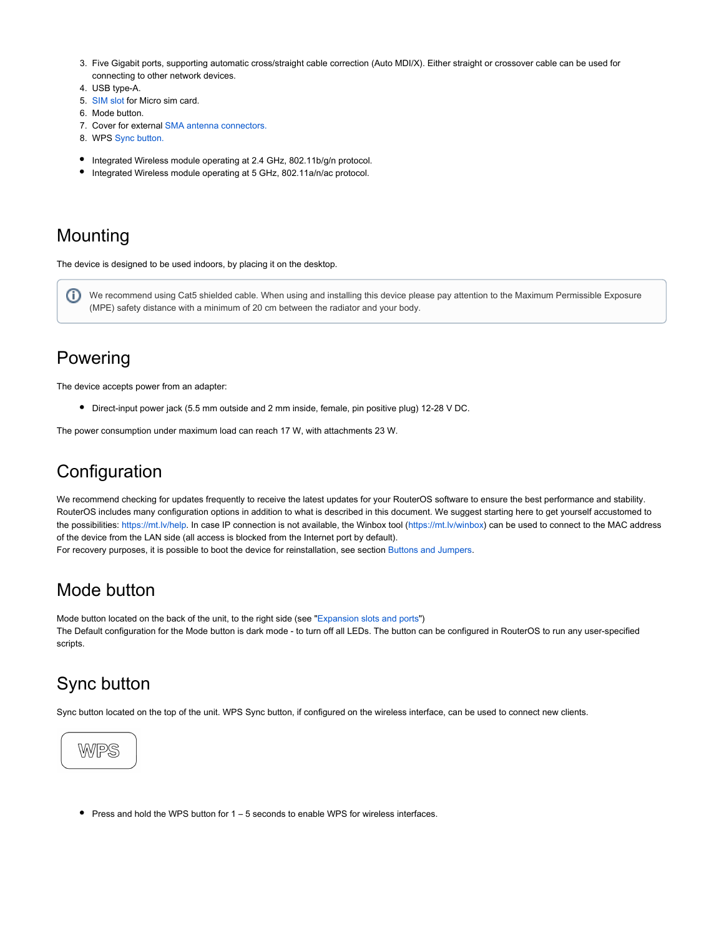- 3. Five Gigabit ports, supporting automatic cross/straight cable correction (Auto MDI/X). Either straight or crossover cable can be used for connecting to other network devices.
- 4. USB type-A.
- 5. [SIM slot](#page-4-1) for Micro sim card.
- 6. Mode button.
- 7. Cover for external SMA antenna connectors.
- 8. WPS [Sync button.](#page-3-1)
- $\bullet$  Integrated Wireless module operating at 2.4 GHz, 802.11b/g/n protocol.
- $\bullet$  Integrated Wireless module operating at 5 GHz, 802.11a/n/ac protocol.

#### Mounting

The device is designed to be used indoors, by placing it on the desktop.

G) We recommend using Cat5 shielded cable. When using and installing this device please pay attention to the Maximum Permissible Exposure (MPE) safety distance with a minimum of 20 cm between the radiator and your body.

#### <span id="page-3-0"></span>Powering

The device accepts power from an adapter:

Direct-input power jack (5.5 mm outside and 2 mm inside, female, pin positive plug) 12-28 V DC.

The power consumption under maximum load can reach 17 W, with attachments 23 W.

## **Configuration**

We recommend checking for updates frequently to receive the latest updates for your RouterOS software to ensure the best performance and stability. RouterOS includes many configuration options in addition to what is described in this document. We suggest starting here to get yourself accustomed to the possibilities: [https://mt.lv/help.](https://mt.lv/help) In case IP connection is not available, the Winbox tool [\(https://mt.lv/winbox](https://mt.lv/winbox)) can be used to connect to the MAC address of the device from the LAN side (all access is blocked from the Internet port by default).

For recovery purposes, it is possible to boot the device for reinstallation, see section Buttons and Jumpers.

#### Mode button

Mode button located on the back of the unit, to the right side (see "[Expansion slots and ports](#page-2-0)") The Default configuration for the Mode button is dark mode - to turn off all LEDs. The button can be configured in RouterOS to run any user-specified scripts.

#### <span id="page-3-1"></span>Sync button

Sync button located on the top of the unit. WPS Sync button, if configured on the wireless interface, can be used to connect new clients.



Press and hold the WPS button for 1 – 5 seconds to enable WPS for wireless interfaces.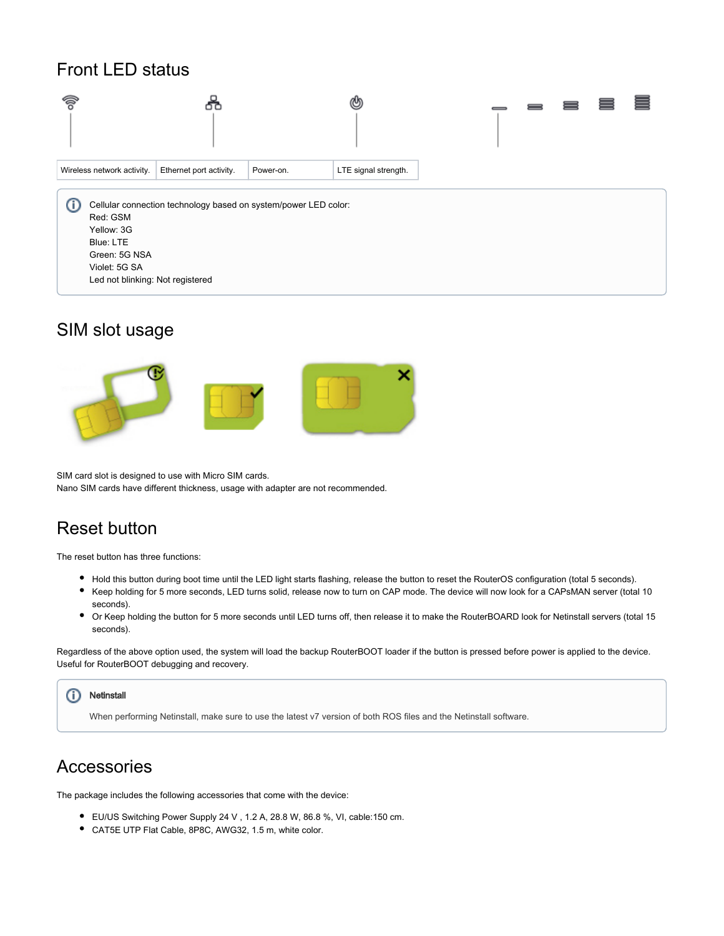#### Front LED status



#### <span id="page-4-1"></span>SIM slot usage



SIM card slot is designed to use with Micro SIM cards. Nano SIM cards have different thickness, usage with adapter are not recommended.

## <span id="page-4-0"></span>Reset button

The reset button has three functions:

- Hold this button during boot time until the LED light starts flashing, release the button to reset the RouterOS configuration (total 5 seconds).
- Keep holding for 5 more seconds, LED turns solid, release now to turn on CAP mode. The device will now look for a CAPsMAN server (total 10 seconds).
- Or Keep holding the button for 5 more seconds until LED turns off, then release it to make the RouterBOARD look for Netinstall servers (total 15 seconds).

Regardless of the above option used, the system will load the backup RouterBOOT loader if the button is pressed before power is applied to the device. Useful for RouterBOOT debugging and recovery.

#### **Netinstall** ⊕

When performing Netinstall, make sure to use the latest v7 version of both ROS files and the Netinstall software.

#### Accessories

The package includes the following accessories that come with the device:

- EU/US Switching Power Supply 24 V , 1.2 A, 28.8 W, 86.8 %, VI, cable:150 cm.
- CAT5E UTP Flat Cable, 8P8C, AWG32, 1.5 m, white color.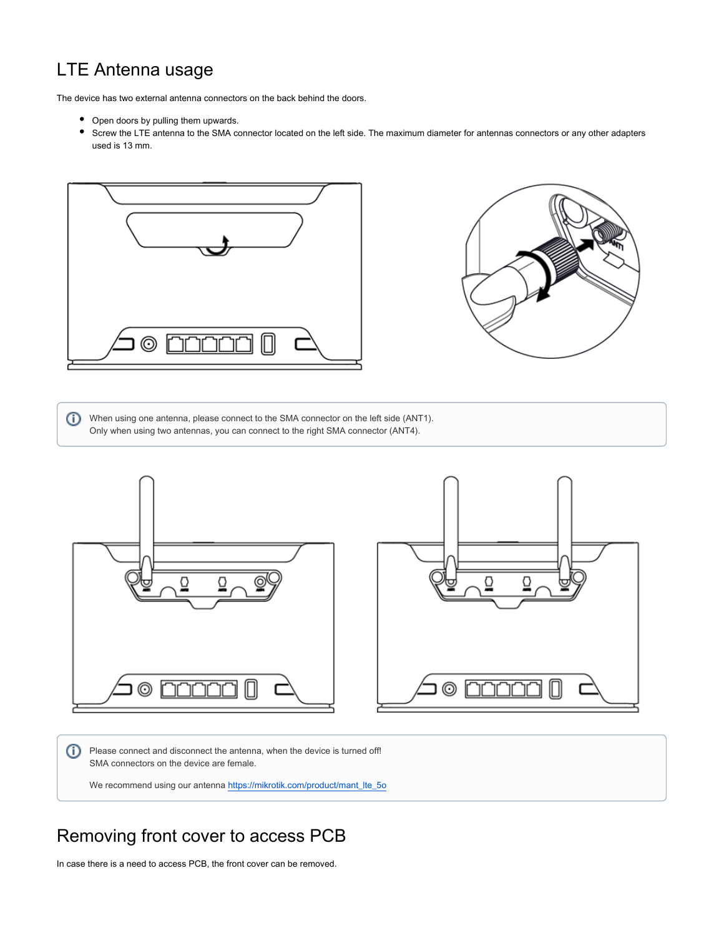## LTE Antenna usage

The device has two external antenna connectors on the back behind the doors.

- Open doors by pulling them upwards.
- Screw the LTE antenna to the SMA connector located on the left side. The maximum diameter for antennas connectors or any other adapters used is 13 mm.





When using one antenna, please connect to the SMA connector on the left side (ANT1). Only when using two antennas, you can connect to the right SMA connector (ANT4).



Please connect and disconnect the antenna, when the device is turned off! SMA connectors on the device are female.

We recommend using our antenna [https://mikrotik.com/product/mant\\_lte\\_5o](https://mikrotik.com/product/mant_lte_5o)

#### Removing front cover to access PCB

In case there is a need to access PCB, the front cover can be removed.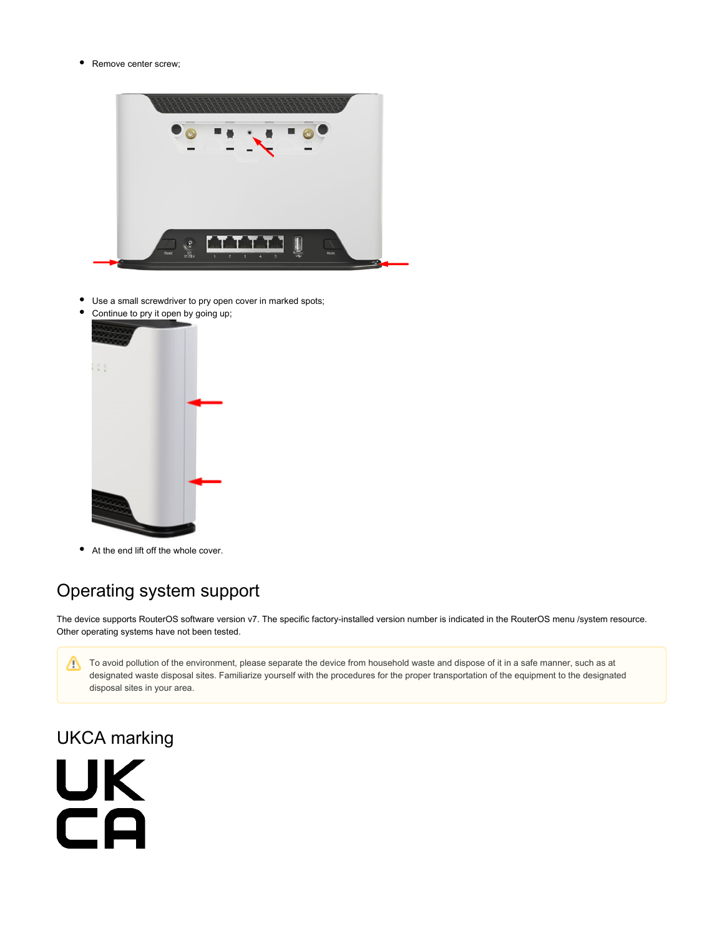$\bullet$ Remove center screw;



- $\bullet$ Use a small screwdriver to pry open cover in marked spots;
- $\bullet$ Continue to pry it open by going up;



At the end lift off the whole cover.

# Operating system support

The device supports RouterOS software version v7. The specific factory-installed version number is indicated in the RouterOS menu /system resource. Other operating systems have not been tested.

To avoid pollution of the environment, please separate the device from household waste and dispose of it in a safe manner, such as at designated waste disposal sites. Familiarize yourself with the procedures for the proper transportation of the equipment to the designated disposal sites in your area.

## UKCA marking

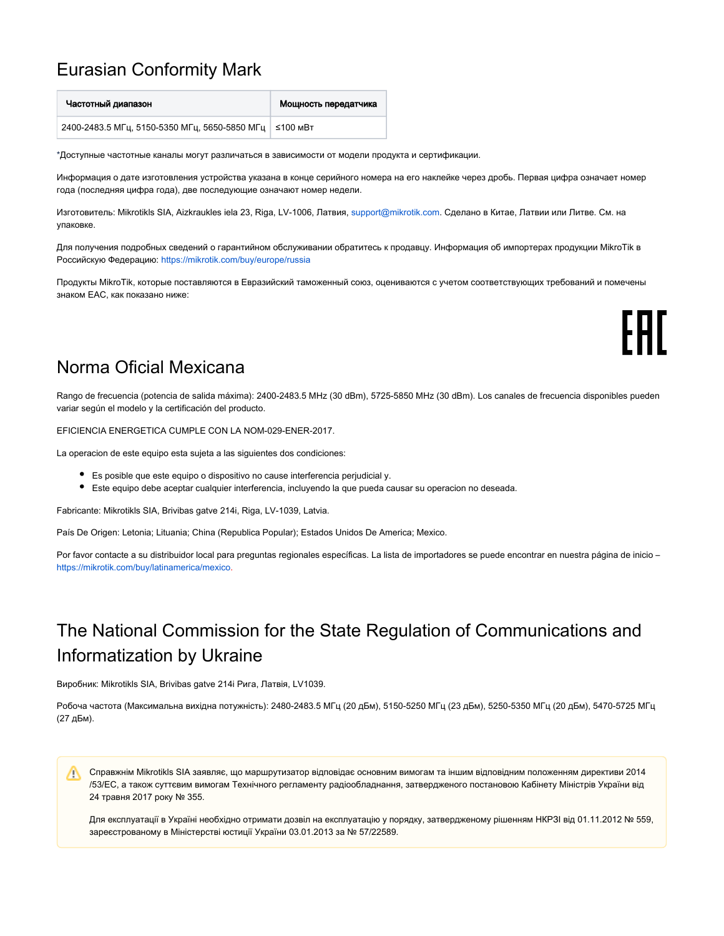#### Eurasian Conformity Mark

| Частотный диапазон                                       | Мощность передатчика |
|----------------------------------------------------------|----------------------|
| 2400-2483.5 МГц, 5150-5350 МГц, 5650-5850 МГц   ≤100 мВт |                      |

\*Доступные частотные каналы могут различаться в зависимости от модели продукта и сертификации.

Информация о дате изготовления устройства указана в конце серийного номера на его наклейке через дробь. Первая цифра означает номер года (последняя цифра года), две последующие означают номер недели.

Изготовитель: Mikrotikls SIA, Aizkraukles iela 23, Riga, LV-1006, Латвия, [support@mikrotik.com.](mailto:support@mikrotik.com) Сделано в Китае, Латвии или Литве. Cм. на упаковке.

Для получения подробных сведений о гарантийном обслуживании обратитесь к продавцу. Информация об импортерах продукции MikroTik в Российскую Федерацию: <https://mikrotik.com/buy/europe/russia>

Продукты MikroTik, которые поставляются в Евразийский таможенный союз, оцениваются с учетом соответствующих требований и помечены знаком EAC, как показано ниже:

FHT

#### Norma Oficial Mexicana

Rango de frecuencia (potencia de salida máxima): 2400-2483.5 MHz (30 dBm), 5725-5850 MHz (30 dBm). Los canales de frecuencia disponibles pueden variar según el modelo y la certificación del producto.

EFICIENCIA ENERGETICA CUMPLE CON LA NOM-029-ENER-2017.

La operacion de este equipo esta sujeta a las siguientes dos condiciones:

- Es posible que este equipo o dispositivo no cause interferencia perjudicial y.
- Este equipo debe aceptar cualquier interferencia, incluyendo la que pueda causar su operacion no deseada.

Fabricante: Mikrotikls SIA, Brivibas gatve 214i, Riga, LV-1039, Latvia.

País De Origen: Letonia; Lituania; China (Republica Popular); Estados Unidos De America; Mexico.

Por favor contacte a su distribuidor local para preguntas regionales específicas. La lista de importadores se puede encontrar en nuestra página de inicio – <https://mikrotik.com/buy/latinamerica/mexico>.

## The National Commission for the State Regulation of Communications and Informatization by Ukraine

Виробник: Mikrotikls SIA, Brivibas gatve 214i Рига, Латвія, LV1039.

Робоча частота (Максимальна вихідна потужність): 2480-2483.5 МГц (20 дБм), 5150-5250 МГц (23 дБм), 5250-5350 МГц (20 дБм), 5470-5725 МГц (27 дБм).

Справжнім Mikrotikls SIA заявляє, що маршрутизатор відповідає основним вимогам та іншим відповідним положенням директиви 2014 Δ /53/EC, а також суттєвим вимогам Технічного регламенту радіообладнання, затвердженого постановою Кабінету Міністрів України від 24 травня 2017 року № 355.

Для експлуатації в Україні необхідно отримати дозвіл на експлуатацію у порядку, затвердженому рішенням НКРЗІ від 01.11.2012 № 559, зареєстрованому в Міністерстві юстиції України 03.01.2013 за № 57/22589.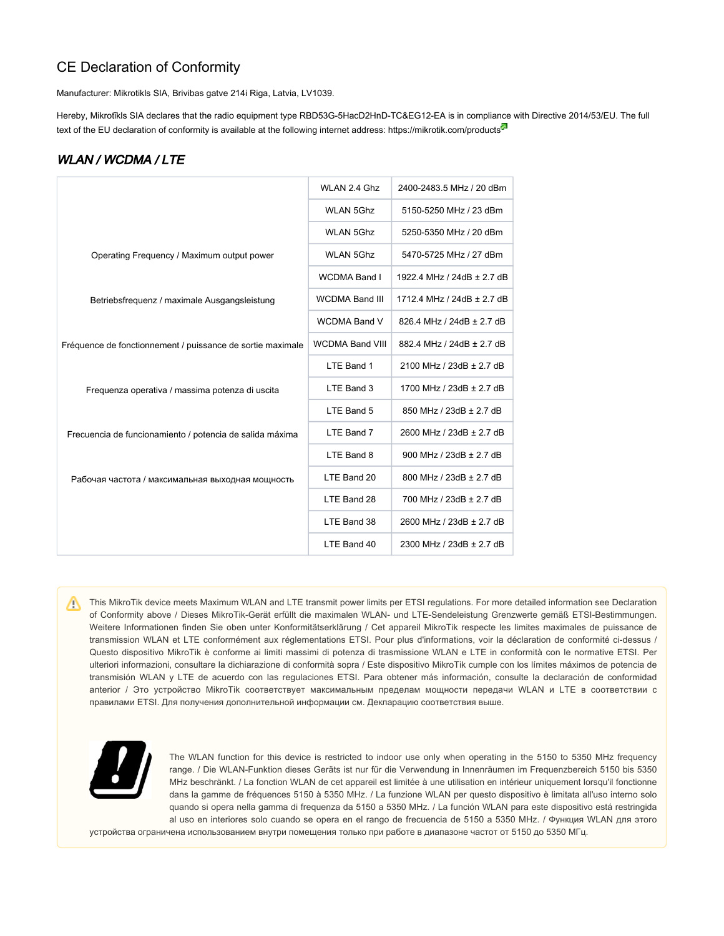#### CE Declaration of Conformity

Manufacturer: Mikrotikls SIA, Brivibas gatve 214i Riga, Latvia, LV1039.

Hereby, Mikrotīkls SIA declares that the radio equipment type RBD53G-5HacD2HnD-TC&EG12-EA is in compliance with Directive 2014/53/EU. The full text of the EU declaration of conformity is available at the following internet address:<https://mikrotik.com/products><sup>®</sup>

#### WLAN / WCDMA / LTE

|                                                            | WLAN 2.4 Ghz           | 2400-2483.5 MHz / 20 dBm   |
|------------------------------------------------------------|------------------------|----------------------------|
|                                                            | <b>WLAN 5Ghz</b>       | 5150-5250 MHz / 23 dBm     |
|                                                            | <b>WLAN 5Ghz</b>       | 5250-5350 MHz / 20 dBm     |
| Operating Frequency / Maximum output power                 | <b>WLAN 5Ghz</b>       | 5470-5725 MHz / 27 dBm     |
|                                                            | <b>WCDMA Band I</b>    | 1922.4 MHz / 24dB ± 2.7 dB |
| Betriebsfrequenz / maximale Ausgangsleistung               | <b>WCDMA Band III</b>  | 1712.4 MHz / 24dB ± 2.7 dB |
|                                                            | <b>WCDMA Band V</b>    | 826.4 MHz / 24dB ± 2.7 dB  |
| Fréquence de fonctionnement / puissance de sortie maximale | <b>WCDMA Band VIII</b> | 882.4 MHz / 24dB ± 2.7 dB  |
|                                                            | LTE Band 1             | 2100 MHz / 23dB ± 2.7 dB   |
| Frequenza operativa / massima potenza di uscita            | LTE Band 3             | 1700 MHz / 23dB ± 2.7 dB   |
|                                                            | LTE Band 5             | 850 MHz / 23dB ± 2.7 dB    |
| Frecuencia de funcionamiento / potencia de salida máxima   | LTE Band 7             | 2600 MHz / 23dB ± 2.7 dB   |
|                                                            | LTE Band 8             | 900 MHz / 23dB ± 2.7 dB    |
| Рабочая частота / максимальная выходная мощность           | LTE Band 20            | 800 MHz / 23dB ± 2.7 dB    |
|                                                            | LTE Band 28            | 700 MHz / 23dB ± 2.7 dB    |
|                                                            | LTE Band 38            | 2600 MHz / 23dB ± 2.7 dB   |
|                                                            | LTE Band 40            | 2300 MHz / 23dB ± 2.7 dB   |

This MikroTik device meets Maximum WLAN and LTE transmit power limits per ETSI regulations. For more detailed information see Declaration of Conformity above / Dieses MikroTik-Gerät erfüllt die maximalen WLAN- und LTE-Sendeleistung Grenzwerte gemäß ETSI-Bestimmungen. Weitere Informationen finden Sie oben unter Konformitätserklärung / Cet appareil MikroTik respecte les limites maximales de puissance de transmission WLAN et LTE conformément aux réglementations ETSI. Pour plus d'informations, voir la déclaration de conformité ci-dessus / Questo dispositivo MikroTik è conforme ai limiti massimi di potenza di trasmissione WLAN e LTE in conformità con le normative ETSI. Per ulteriori informazioni, consultare la dichiarazione di conformità sopra / Este dispositivo MikroTik cumple con los límites máximos de potencia de transmisión WLAN y LTE de acuerdo con las regulaciones ETSI. Para obtener más información, consulte la declaración de conformidad anterior / Это устройство MikroTik соответствует максимальным пределам мощности передачи WLAN и LTE в соответствии с правилами ETSI. Для получения дополнительной информации см. Декларацию соответствия выше.



The WLAN function for this device is restricted to indoor use only when operating in the 5150 to 5350 MHz frequency range. / Die WLAN-Funktion dieses Geräts ist nur für die Verwendung in Innenräumen im Frequenzbereich 5150 bis 5350 MHz beschränkt. / La fonction WLAN de cet appareil est limitée à une utilisation en intérieur uniquement lorsqu'il fonctionne dans la gamme de fréquences 5150 à 5350 MHz. / La funzione WLAN per questo dispositivo è limitata all'uso interno solo quando si opera nella gamma di frequenza da 5150 a 5350 MHz. / La función WLAN para este dispositivo está restringida al uso en interiores solo cuando se opera en el rango de frecuencia de 5150 a 5350 MHz. / Функция WLAN для этого

устройства ограничена использованием внутри помещения только при работе в диапазоне частот от 5150 до 5350 МГц.